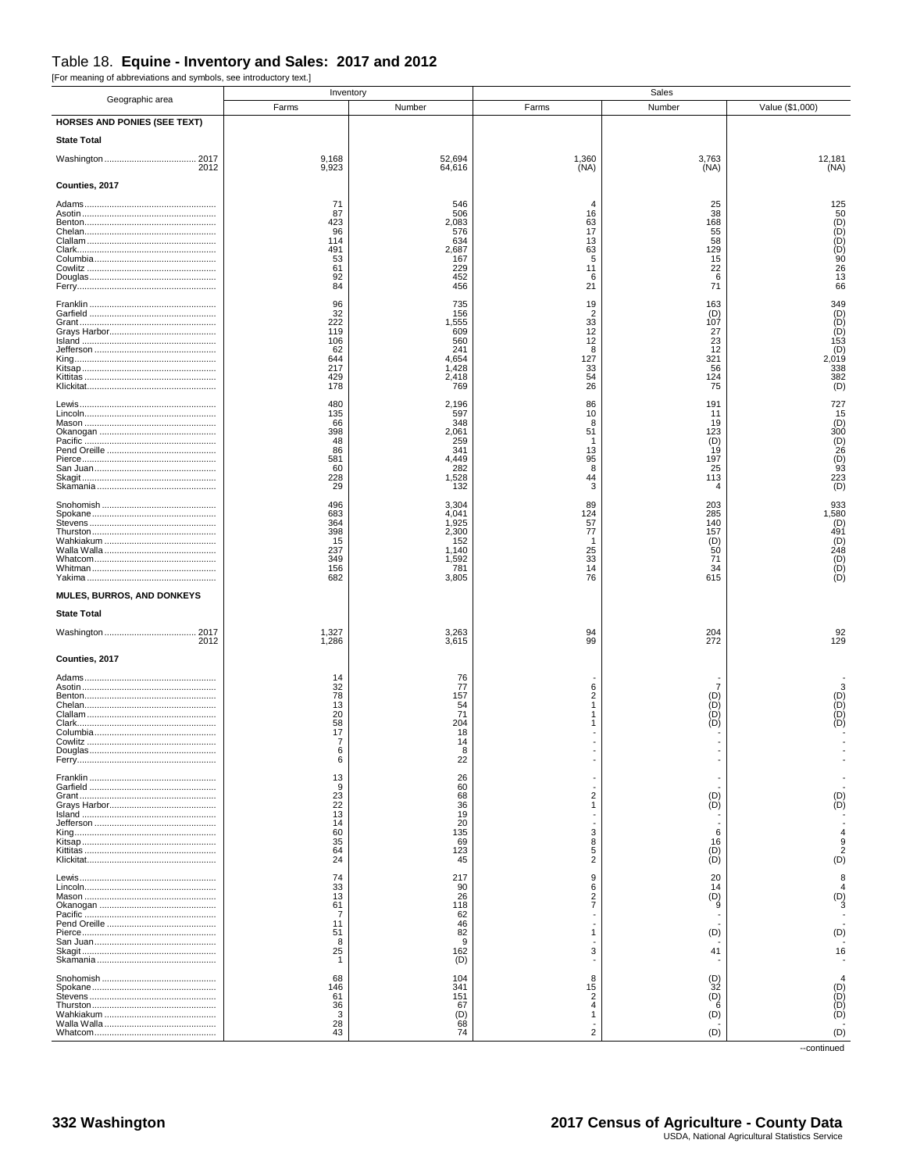## Table 18. Equine - Inventory and Sales: 2017 and 2012

[For meaning of abbreviations and symbols, see introductory text.]

| Geographic area                     | Inventory             |                  |                        | Sales           |                                               |
|-------------------------------------|-----------------------|------------------|------------------------|-----------------|-----------------------------------------------|
|                                     | Farms                 | Number           | Farms                  | Number          | Value (\$1,000)                               |
| <b>HORSES AND PONIES (SEE TEXT)</b> |                       |                  |                        |                 |                                               |
| <b>State Total</b>                  |                       |                  |                        |                 |                                               |
| 2012                                | 9,168<br>9,923        | 52,694<br>64,616 | 1,360<br>(NA)          | 3,763<br>(NA)   | 12,181<br>(NA)                                |
| Counties, 2017                      |                       |                  |                        |                 |                                               |
|                                     | 71                    | 546              |                        | 25              | 125                                           |
|                                     | 87<br>423             | 506<br>2,083     | 16<br>63               | 38<br>168       |                                               |
|                                     | 96<br>114             | 576<br>634       | 17<br>13               | 55<br>58        |                                               |
|                                     | 491<br>53             | 2,687<br>167     | 63<br>5                | 129<br>15       | 50<br>(D)<br>(D)<br>(D)<br>(90                |
|                                     | 61<br>92              | 229<br>452       | 11<br>6                | 22<br>6         | $\overline{26}$<br>13                         |
|                                     | 84                    | 456              | 21                     | 71              | 66                                            |
|                                     | 96<br>32              | 735<br>156       | 19<br>$\overline{2}$   | 163<br>(D)      | 349<br>$\begin{pmatrix} D \\ D \end{pmatrix}$ |
|                                     | 222<br>119            | 1,555<br>609     | 33<br>12               | 107<br>27       |                                               |
|                                     | 106<br>62             | 560<br>241       | 12<br>8                | 23<br>12        | $\overline{153}$<br>(D)<br>(D)                |
|                                     | 644<br>217            | 4,654<br>1,428   | 127<br>33              | 321<br>56       | 2,019<br>338                                  |
|                                     | 429<br>178            | 2,418<br>769     | 54<br>26               | 124<br>75       | 382<br>(D)                                    |
|                                     | 480                   | 2,196            | 86                     | 191             | 727                                           |
|                                     | 135<br>66             | 597<br>348       | 10<br>8                | 11<br>19        | 15<br>(D)                                     |
|                                     | 398<br>48             | 2,061<br>259     | 51<br>-1               | 123<br>(D)      | 300                                           |
|                                     | 86<br>581             | 341<br>4,449     | 13<br>95               | 19<br>197       | $(D)$<br>$(1)$<br>$(26)$<br>$(1)$<br>$(93)$   |
|                                     | 60<br>228             | 282<br>1,528     | 8<br>44                | 25<br>113       | 223                                           |
|                                     | 29                    | 132              | 3                      | 4               | (D)                                           |
|                                     | 496<br>683            | 3,304<br>4,041   | 89<br>124              | 203<br>285      | 933<br>1,580                                  |
|                                     | 364<br>398            | 1,925<br>2,300   | 57<br>77               | 140<br>157      | $(D)$<br>491                                  |
|                                     | 15<br>237             | 152<br>1,140     | 25                     | $\binom{D}{50}$ | $(1)$ <sub>248</sub>                          |
|                                     | 349<br>156            | 1,592<br>781     | 33<br>14               | 71<br>34        | $(D)$<br>$(D)$<br>$(D)$                       |
|                                     | 682                   | 3,805            | 76                     | 615             |                                               |
| MULES, BURROS, AND DONKEYS          |                       |                  |                        |                 |                                               |
| <b>State Total</b>                  |                       |                  |                        |                 |                                               |
| 2012                                | 1,327<br>1,286        | 3,263<br>3,615   | 94<br>99               | 204<br>272      | $\frac{92}{129}$                              |
| Counties, 2017                      |                       |                  |                        |                 |                                               |
|                                     | 14<br>32              | 76<br>77         |                        |                 |                                               |
|                                     | 78<br>13              | 157              | 6<br>$\overline{2}$    | 7<br>(D)<br>ÌD) | 3                                             |
|                                     | $\frac{20}{58}$       | 54<br>71         | $\mathbf{1}$<br>1<br>1 | (D)<br>(D)      | $(D)$<br>$(D)$<br>$(D)$                       |
|                                     | 17                    | 204<br>18        |                        |                 |                                               |
|                                     | $\overline{7}$<br>ĥ   | 14               |                        |                 |                                               |
|                                     | 6<br>13               | 22<br>26         |                        |                 |                                               |
|                                     | 9                     | 60<br>68         | $\overline{2}$         | (D)             | (D)                                           |
|                                     | $\frac{23}{22}$<br>13 | 36<br>19         | 1                      | (D)             | (D)                                           |
|                                     | 14<br>60              | 20<br>135        | 3                      | 6               | $\overline{4}$                                |
|                                     | 35<br>64              | 69<br>123        | 8<br>5                 | 16<br>(D)       | 9<br>$\overline{2}$                           |
|                                     | 24                    | 45               | $\overline{2}$         | (D)             | (D)                                           |
|                                     | 74<br>33              | 217<br>90        | 9<br>6                 | 20<br>14        | 8                                             |
|                                     | 13<br>61              | 26<br>118        | 2<br>7                 | (D)<br>9        | (D)                                           |
|                                     | 7<br>11               | 62<br>46         |                        |                 |                                               |
|                                     | 51<br>8               | 82<br>9          | 1                      | (D)             | (D)                                           |
|                                     | 25<br>$\mathbf{1}$    | 162<br>(D)       | 3                      | 41              | 16                                            |
|                                     | 68                    | 104              | 8                      | (D)             |                                               |
|                                     | 146<br>61             | 341<br>151       | 15<br>$\overline{2}$   | 32<br>(D)       | $(D)$<br>$(D)$<br>$(D)$                       |
|                                     | 36<br>3               | 67<br>(D)        | $\overline{4}$<br>1    | 6<br>(D)        |                                               |
|                                     | 28<br>43              | 68<br>74         | $\overline{2}$         | (D)             | (D)                                           |

--continued